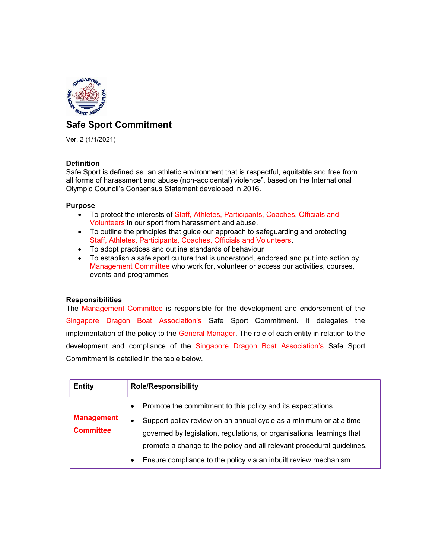

# Safe Sport Commitment

Ver. 2 (1/1/2021)

# Definition

Safe Sport is defined as "an athletic environment that is respectful, equitable and free from all forms of harassment and abuse (non-accidental) violence", based on the International Olympic Council's Consensus Statement developed in 2016.

# Purpose

- To protect the interests of Staff, Athletes, Participants, Coaches, Officials and Volunteers in our sport from harassment and abuse.
- To outline the principles that guide our approach to safeguarding and protecting Staff, Athletes, Participants, Coaches, Officials and Volunteers.
- To adopt practices and outline standards of behaviour
- To establish a safe sport culture that is understood, endorsed and put into action by Management Committee who work for, volunteer or access our activities, courses, events and programmes

# **Responsibilities**

The Management Committee is responsible for the development and endorsement of the Singapore Dragon Boat Association's Safe Sport Commitment. It delegates the implementation of the policy to the General Manager. The role of each entity in relation to the development and compliance of the Singapore Dragon Boat Association's Safe Sport Commitment is detailed in the table below.

| <b>Entity</b>                         | <b>Role/Responsibility</b>                                                                                                                                                                                                                                                                                                                                                                       |  |  |  |
|---------------------------------------|--------------------------------------------------------------------------------------------------------------------------------------------------------------------------------------------------------------------------------------------------------------------------------------------------------------------------------------------------------------------------------------------------|--|--|--|
| <b>Management</b><br><b>Committee</b> | Promote the commitment to this policy and its expectations.<br>$\bullet$<br>Support policy review on an annual cycle as a minimum or at a time<br>$\bullet$<br>governed by legislation, regulations, or organisational learnings that<br>promote a change to the policy and all relevant procedural quidelines.<br>Ensure compliance to the policy via an inbuilt review mechanism.<br>$\bullet$ |  |  |  |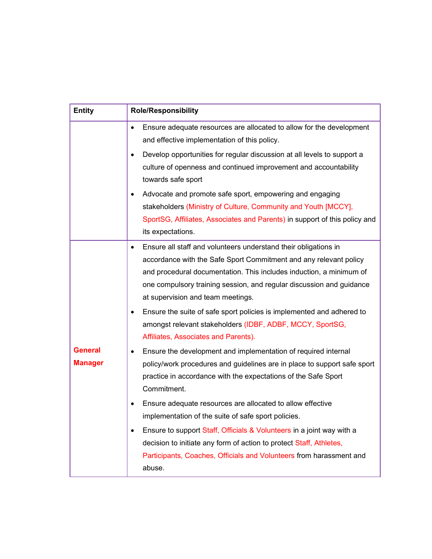| <b>Entity</b>                    | <b>Role/Responsibility</b>                                                                                                                                                                                                                                                                                                                                                                                                                                          |  |  |  |  |
|----------------------------------|---------------------------------------------------------------------------------------------------------------------------------------------------------------------------------------------------------------------------------------------------------------------------------------------------------------------------------------------------------------------------------------------------------------------------------------------------------------------|--|--|--|--|
|                                  | Ensure adequate resources are allocated to allow for the development<br>$\bullet$<br>and effective implementation of this policy.                                                                                                                                                                                                                                                                                                                                   |  |  |  |  |
|                                  | Develop opportunities for regular discussion at all levels to support a<br>٠<br>culture of openness and continued improvement and accountability<br>towards safe sport                                                                                                                                                                                                                                                                                              |  |  |  |  |
|                                  | Advocate and promote safe sport, empowering and engaging<br>٠<br>stakeholders (Ministry of Culture, Community and Youth [MCCY],<br>SportSG, Affiliates, Associates and Parents) in support of this policy and<br>its expectations.                                                                                                                                                                                                                                  |  |  |  |  |
|                                  | Ensure all staff and volunteers understand their obligations in<br>accordance with the Safe Sport Commitment and any relevant policy<br>and procedural documentation. This includes induction, a minimum of<br>one compulsory training session, and regular discussion and guidance<br>at supervision and team meetings.<br>Ensure the suite of safe sport policies is implemented and adhered to<br>٠<br>amongst relevant stakeholders (IDBF, ADBF, MCCY, SportSG, |  |  |  |  |
| <b>General</b><br><b>Manager</b> | Affiliates, Associates and Parents).<br>Ensure the development and implementation of required internal<br>٠<br>policy/work procedures and guidelines are in place to support safe sport<br>practice in accordance with the expectations of the Safe Sport<br>Commitment.                                                                                                                                                                                            |  |  |  |  |
|                                  | Ensure adequate resources are allocated to allow effective<br>implementation of the suite of safe sport policies.<br>Ensure to support Staff, Officials & Volunteers in a joint way with a<br>٠<br>decision to initiate any form of action to protect Staff, Athletes,<br>Participants, Coaches, Officials and Volunteers from harassment and<br>abuse.                                                                                                             |  |  |  |  |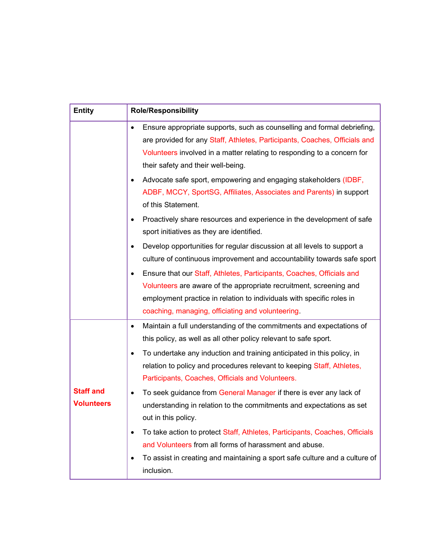| <b>Entity</b>                         | <b>Role/Responsibility</b>                                                                                                                                                                                                                                                |  |  |  |  |
|---------------------------------------|---------------------------------------------------------------------------------------------------------------------------------------------------------------------------------------------------------------------------------------------------------------------------|--|--|--|--|
|                                       | Ensure appropriate supports, such as counselling and formal debriefing,<br>are provided for any Staff, Athletes, Participants, Coaches, Officials and<br>Volunteers involved in a matter relating to responding to a concern for<br>their safety and their well-being.    |  |  |  |  |
|                                       | Advocate safe sport, empowering and engaging stakeholders (IDBF,<br>٠<br>ADBF, MCCY, SportSG, Affiliates, Associates and Parents) in support<br>of this Statement.                                                                                                        |  |  |  |  |
|                                       | Proactively share resources and experience in the development of safe<br>sport initiatives as they are identified.                                                                                                                                                        |  |  |  |  |
|                                       | Develop opportunities for regular discussion at all levels to support a<br>٠<br>culture of continuous improvement and accountability towards safe sport                                                                                                                   |  |  |  |  |
|                                       | Ensure that our Staff, Athletes, Participants, Coaches, Officials and<br>Volunteers are aware of the appropriate recruitment, screening and<br>employment practice in relation to individuals with specific roles in<br>coaching, managing, officiating and volunteering. |  |  |  |  |
|                                       | Maintain a full understanding of the commitments and expectations of<br>٠<br>this policy, as well as all other policy relevant to safe sport.                                                                                                                             |  |  |  |  |
|                                       | To undertake any induction and training anticipated in this policy, in<br>$\bullet$<br>relation to policy and procedures relevant to keeping Staff, Athletes,<br>Participants, Coaches, Officials and Volunteers.                                                         |  |  |  |  |
| <b>Staff and</b><br><b>Volunteers</b> | To seek guidance from General Manager if there is ever any lack of<br>٠<br>understanding in relation to the commitments and expectations as set<br>out in this policy.                                                                                                    |  |  |  |  |
|                                       | To take action to protect Staff, Athletes, Participants, Coaches, Officials<br>٠<br>and Volunteers from all forms of harassment and abuse.                                                                                                                                |  |  |  |  |
|                                       | To assist in creating and maintaining a sport safe culture and a culture of<br>٠<br>inclusion.                                                                                                                                                                            |  |  |  |  |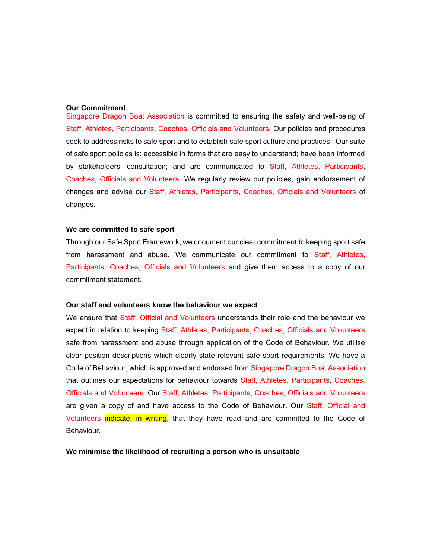### Our Commitment

Singapore Dragon Boat Association is committed to ensuring the safety and well-being of Staff, Athletes, Participants, Coaches, Officials and Volunteers. Our policies and procedures seek to address risks to safe sport and to establish safe sport culture and practices. Our suite of safe sport policies is: accessible in forms that are easy to understand; have been informed by stakeholders' consultation; and are communicated to Staff, Athletes, Participants, Coaches, Officials and Volunteers. We regularly review our policies, gain endorsement of changes and advise our Staff, Athletes, Participants, Coaches, Officials and Volunteers of changes.

## We are committed to safe sport

Through our Safe Sport Framework, we document our clear commitment to keeping sport safe from harassment and abuse. We communicate our commitment to Staff, Athletes, Participants, Coaches, Officials and Volunteers and give them access to a copy of our commitment statement.

#### Our staff and volunteers know the behaviour we expect

We ensure that Staff, Official and Volunteers understands their role and the behaviour we expect in relation to keeping Staff, Athletes, Participants, Coaches, Officials and Volunteers safe from harassment and abuse through application of the Code of Behaviour. We utilise clear position descriptions which clearly state relevant safe sport requirements. We have a Code of Behaviour, which is approved and endorsed from Singapore Dragon Boat Association that outlines our expectations for behaviour towards Staff, Athletes, Participants, Coaches, Officials and Volunteers. Our Staff, Athletes, Participants, Coaches, Officials and Volunteers are given a copy of and have access to the Code of Behaviour. Our Staff, Official and Volunteers indicate, in writing, that they have read and are committed to the Code of Behaviour.

We minimise the likelihood of recruiting a person who is unsuitable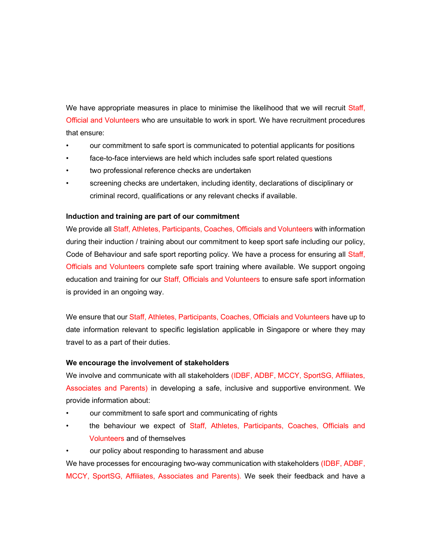We have appropriate measures in place to minimise the likelihood that we will recruit Staff, Official and Volunteers who are unsuitable to work in sport. We have recruitment procedures that ensure:

- our commitment to safe sport is communicated to potential applicants for positions
- face-to-face interviews are held which includes safe sport related questions
- two professional reference checks are undertaken
- screening checks are undertaken, including identity, declarations of disciplinary or criminal record, qualifications or any relevant checks if available.

## Induction and training are part of our commitment

We provide all Staff, Athletes, Participants, Coaches, Officials and Volunteers with information during their induction / training about our commitment to keep sport safe including our policy, Code of Behaviour and safe sport reporting policy. We have a process for ensuring all Staff, Officials and Volunteers complete safe sport training where available. We support ongoing education and training for our Staff, Officials and Volunteers to ensure safe sport information is provided in an ongoing way.

We ensure that our Staff, Athletes, Participants, Coaches, Officials and Volunteers have up to date information relevant to specific legislation applicable in Singapore or where they may travel to as a part of their duties.

### We encourage the involvement of stakeholders

We involve and communicate with all stakeholders (IDBF, ADBF, MCCY, SportSG, Affiliates, Associates and Parents) in developing a safe, inclusive and supportive environment. We provide information about:

- our commitment to safe sport and communicating of rights
- the behaviour we expect of Staff, Athletes, Participants, Coaches, Officials and Volunteers and of themselves
- our policy about responding to harassment and abuse

We have processes for encouraging two-way communication with stakeholders (IDBF, ADBF, MCCY, SportSG, Affiliates, Associates and Parents). We seek their feedback and have a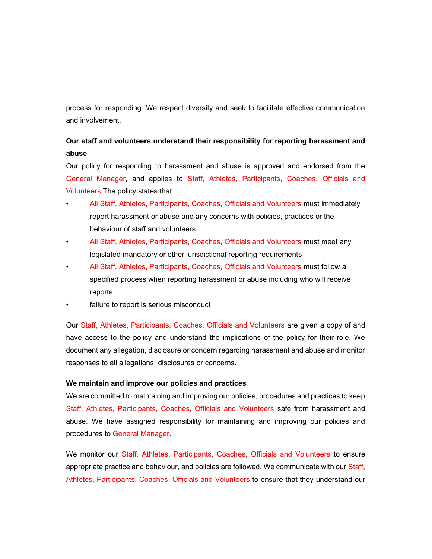process for responding. We respect diversity and seek to facilitate effective communication and involvement.

# Our staff and volunteers understand their responsibility for reporting harassment and abuse

Our policy for responding to harassment and abuse is approved and endorsed from the General Manager, and applies to Staff, Athletes, Participants, Coaches, Officials and Volunteers The policy states that:

- All Staff, Athletes, Participants, Coaches, Officials and Volunteers must immediately report harassment or abuse and any concerns with policies, practices or the behaviour of staff and volunteers.
- All Staff, Athletes, Participants, Coaches, Officials and Volunteers must meet any legislated mandatory or other jurisdictional reporting requirements
- All Staff, Athletes, Participants, Coaches, Officials and Volunteers must follow a specified process when reporting harassment or abuse including who will receive reports
- failure to report is serious misconduct

Our Staff, Athletes, Participants, Coaches, Officials and Volunteers are given a copy of and have access to the policy and understand the implications of the policy for their role. We document any allegation, disclosure or concern regarding harassment and abuse and monitor responses to all allegations, disclosures or concerns.

## We maintain and improve our policies and practices

We are committed to maintaining and improving our policies, procedures and practices to keep Staff, Athletes, Participants, Coaches, Officials and Volunteers safe from harassment and abuse. We have assigned responsibility for maintaining and improving our policies and procedures to General Manager.

We monitor our Staff, Athletes, Participants, Coaches, Officials and Volunteers to ensure appropriate practice and behaviour, and policies are followed. We communicate with our Staff, Athletes, Participants, Coaches, Officials and Volunteers to ensure that they understand our